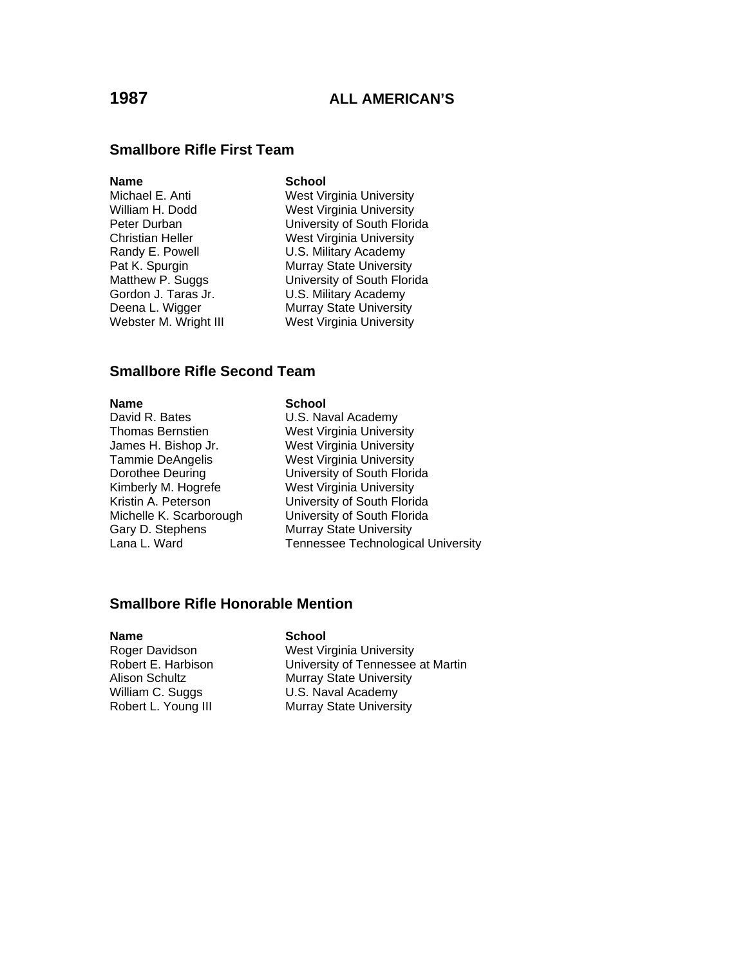### **Smallbore Rifle First Team**

### **Name** School

Michael E. Anti West Virginia University William H. Dodd West Virginia University Peter Durban **University of South Florida** Christian Heller West Virginia University Randy E. Powell **U.S. Military Academy** Pat K. Spurgin Murray State University Matthew P. Suggs University of South Florida Gordon J. Taras Jr. **U.S. Military Academy** Deena L. Wigger Murray State University Webster M. Wright III West Virginia University

### **Smallbore Rifle Second Team**

**Name School**<br>
David R. Bates **School**<br>
U.S. Na

U.S. Naval Academy Thomas Bernstien West Virginia University James H. Bishop Jr. West Virginia University Tammie DeAngelis West Virginia University Dorothee Deuring University of South Florida Kimberly M. Hogrefe<br>
Kristin A. Peterson **West Virginia University**<br>
University of South Florid University of South Florida Michelle K. Scarborough University of South Florida Gary D. Stephens Murray State University<br>Lana L. Ward **Music State Technologic** Tennessee Technological University

### **Smallbore Rifle Honorable Mention**

### **Name** School

Roger Davidson West Virginia University Robert E. Harbison<br>Alison Schultz **Nullam State University**<br>Murray State University **Murray State University** William C. Suggs **U.S. Naval Academy** Robert L. Young III Murray State University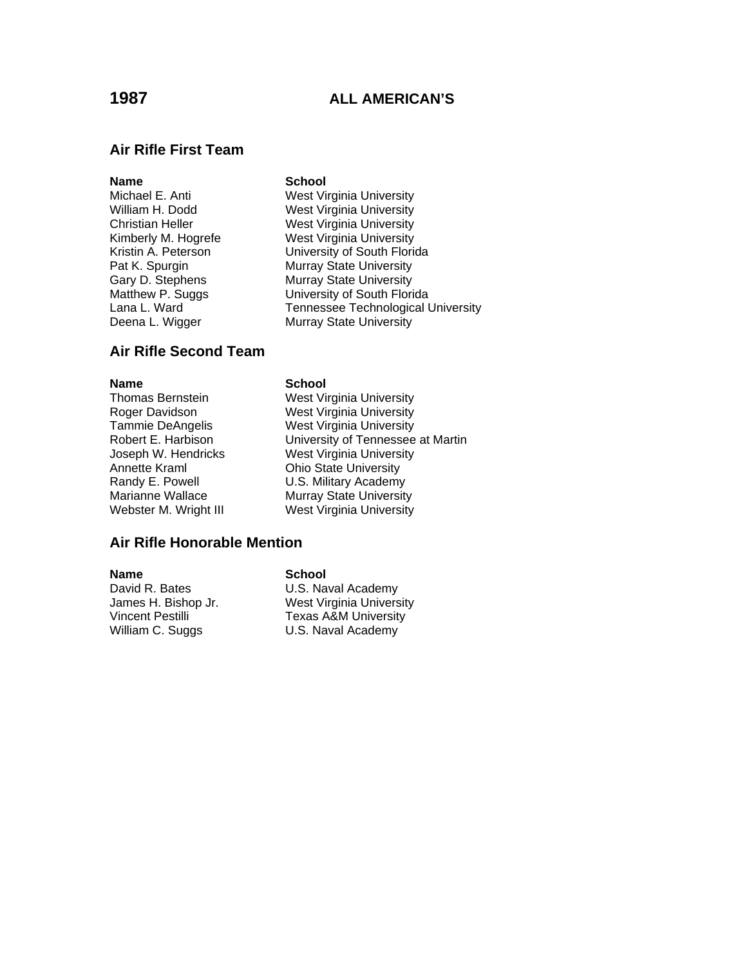### **Air Rifle First Team**

- **Name School**<br>
Michael E. Anti **School**<br>
West Vi
- West Virginia University William H. Dodd West Virginia University Christian Heller West Virginia University Kimberly M. Hogrefe West Virginia University Kristin A. Peterson University of South Florida Pat K. Spurgin Murray State University Gary D. Stephens Murray State University Matthew P. Suggs University of South Florida Lana L. Ward **Tennessee Technological University** Deena L. Wigger Murray State University

### **Air Rifle Second Team**

Annette Kraml Ohio State University

### **Name** School

Thomas Bernstein West Virginia University Roger Davidson West Virginia University Tammie DeAngelis West Virginia University Robert E. Harbison University of Tennessee at Martin Joseph W. Hendricks West Virginia University Randy E. Powell U.S. Military Academy Marianne Wallace **Murray State University**<br>
Webster M. Wright III Mest Virginia University West Virginia University

### **Air Rifle Honorable Mention**

### **Name** School

David R. Bates U.S. Naval Academy William C. Suggs U.S. Naval Academy

James H. Bishop Jr. West Virginia University Vincent Pestilli Texas A&M University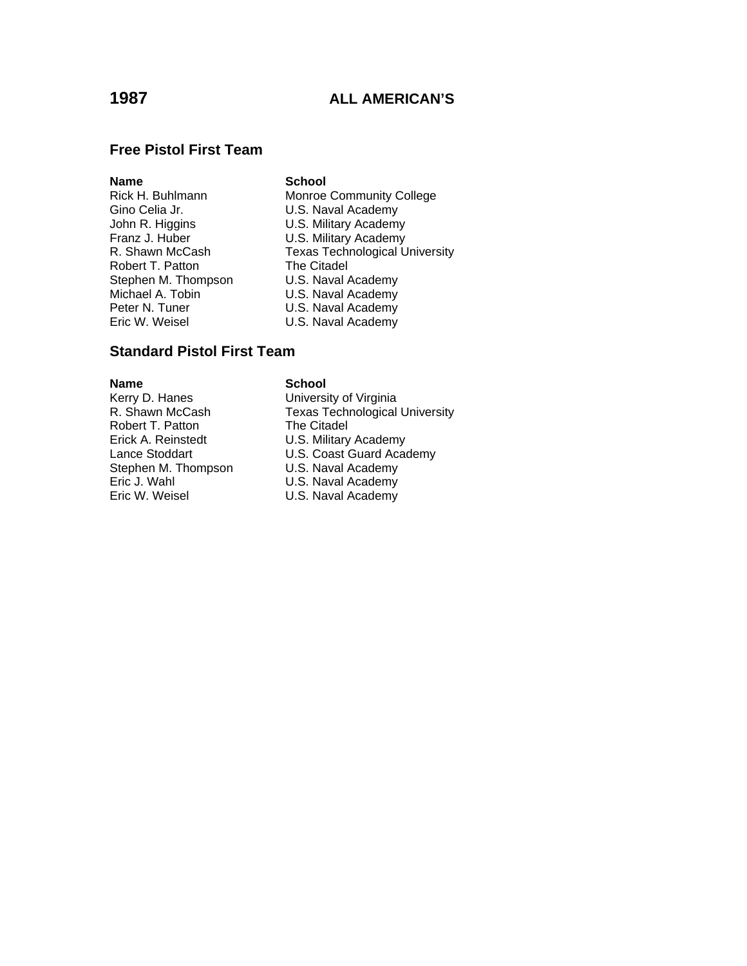## **Free Pistol First Team**

**Name School**<br>
Rick H. Buhlmann **School**<br>
Monroe Gino Celia Jr.<br>
John R. Higgins<br>
U.S. Military Academy Robert T. Patton The Citadel Stephen M. Thompson U.S. Naval Academy Michael A. Tobin **Camela Communist U.S. Naval Academy**<br>
Peter N. Tuner **Camela Communist U.S. Naval Academy** Peter N. Tuner U.S. Naval Academy<br>Eric W. Weisel U.S. Naval Academy

Monroe Community College U.S. Military Academy Franz J. Huber U.S. Military Academy R. Shawn McCash Texas Technological University U.S. Naval Academy

## **Standard Pistol First Team**

Robert T. Patton

### **Name** School

Kerry D. Hanes **B. E. S. E. H. E. S. E. A. E. S. E. A. E. S. E. A. E. S. E. E. E. E. E. E. E. E. E. E. E. E. E**<br>R. Shawn McCash **Texas Technological** Texas Technological University<br>The Citadel Erick A. Reinstedt U.S. Military Academy Lance Stoddart **U.S. Coast Guard Academy** Stephen M. Thompson U.S. Naval Academy Eric J. Wahl **Eric J. Wahl Communist Communist Communist** U.S. Naval Academy Communist Communist Communist Communist Communist Communist Communist Communist Communist Communist Communist Communist Communist Communist Commu U.S. Naval Academy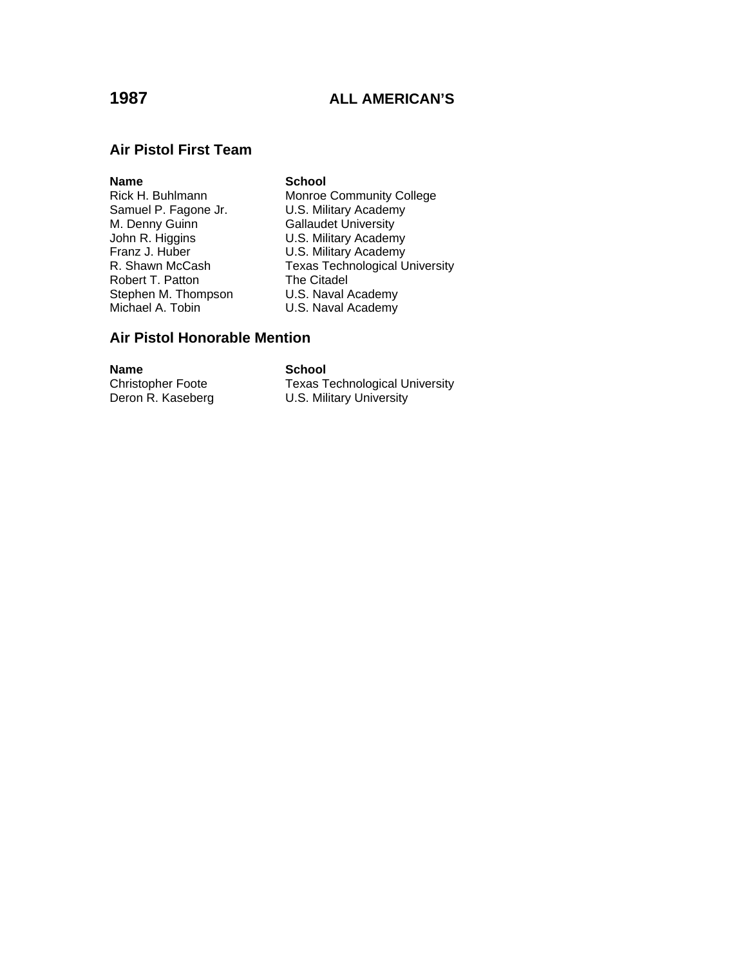### **Air Pistol First Team**

**Name School**<br>
Rick H. Buhlmann **School**<br>
Monroe Samuel P. Fagone Jr. **U.S. Military Academy**<br>M. Denny Guinn **Callaudet University** M. Denny Guinn Gallaudet University<br>John R. Higgins Gallaudet U.S. Military Academ Franz J. Huber U.S. Military Academy Robert T. Patton The Citadel<br>Stephen M. Thompson U.S. Naval Academy Stephen M. Thompson<br>Michael A. Tobin

Rick H. Buhlmann Monroe Community College<br>Samuel P. Fagone Jr. C. B. Military Academy John R. Higgins **U.S. Military Academy**<br>
Franz J. Huber **U.S. Military Academy** R. Shawn McCash Texas Technological University U.S. Naval Academy

## **Air Pistol Honorable Mention**

**Name** School<br>
Christopher Foote Texas T

Texas Technological University Deron R. Kaseberg **U.S. Military University**